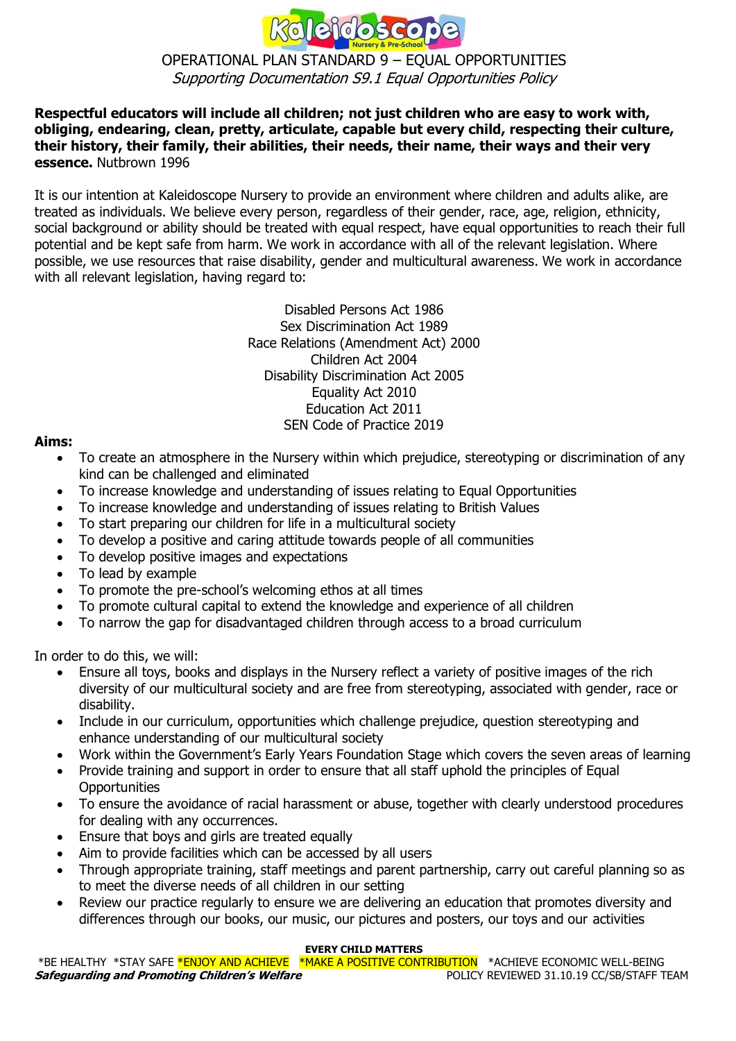

## OPERATIONAL PLAN STANDARD 9 – EQUAL OPPORTUNITIES Supporting Documentation S9.1 Equal Opportunities Policy

### **Respectful educators will include all children; not just children who are easy to work with, obliging, endearing, clean, pretty, articulate, capable but every child, respecting their culture, their history, their family, their abilities, their needs, their name, their ways and their very essence.** Nutbrown 1996

It is our intention at Kaleidoscope Nursery to provide an environment where children and adults alike, are treated as individuals. We believe every person, regardless of their gender, race, age, religion, ethnicity, social background or ability should be treated with equal respect, have equal opportunities to reach their full potential and be kept safe from harm. We work in accordance with all of the relevant legislation. Where possible, we use resources that raise disability, gender and multicultural awareness. We work in accordance with all relevant legislation, having regard to:

> Disabled Persons Act 1986 Sex Discrimination Act 1989 Race Relations (Amendment Act) 2000 Children Act 2004 Disability Discrimination Act 2005 Equality Act 2010 Education Act 2011 SEN Code of Practice 2019

### **Aims:**

- To create an atmosphere in the Nursery within which prejudice, stereotyping or discrimination of any kind can be challenged and eliminated
- To increase knowledge and understanding of issues relating to Equal Opportunities
- To increase knowledge and understanding of issues relating to British Values
- To start preparing our children for life in a multicultural society
- To develop a positive and caring attitude towards people of all communities
- To develop positive images and expectations
- To lead by example
- To promote the pre-school's welcoming ethos at all times
- To promote cultural capital to extend the knowledge and experience of all children
- To narrow the gap for disadvantaged children through access to a broad curriculum

In order to do this, we will:

- Ensure all toys, books and displays in the Nursery reflect a variety of positive images of the rich diversity of our multicultural society and are free from stereotyping, associated with gender, race or disability.
- Include in our curriculum, opportunities which challenge prejudice, question stereotyping and enhance understanding of our multicultural society
- Work within the Government's Early Years Foundation Stage which covers the seven areas of learning
- Provide training and support in order to ensure that all staff uphold the principles of Equal **Opportunities**
- To ensure the avoidance of racial harassment or abuse, together with clearly understood procedures for dealing with any occurrences.
- Ensure that boys and girls are treated equally
- Aim to provide facilities which can be accessed by all users
- Through appropriate training, staff meetings and parent partnership, carry out careful planning so as to meet the diverse needs of all children in our setting
- Review our practice regularly to ensure we are delivering an education that promotes diversity and differences through our books, our music, our pictures and posters, our toys and our activities

#### **EVERY CHILD MATTERS**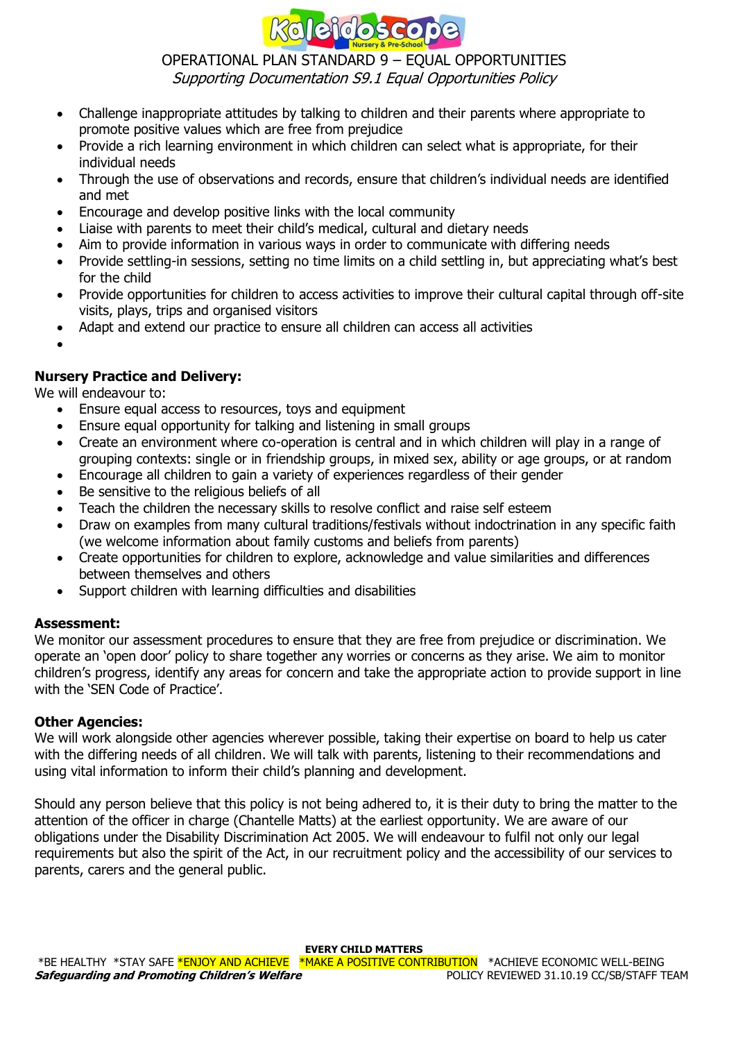

### OPERATIONAL PLAN STANDARD 9 – EQUAL OPPORTUNITIES Supporting Documentation S9.1 Equal Opportunities Policy

- Challenge inappropriate attitudes by talking to children and their parents where appropriate to promote positive values which are free from prejudice
- Provide a rich learning environment in which children can select what is appropriate, for their individual needs
- Through the use of observations and records, ensure that children's individual needs are identified and met
- Encourage and develop positive links with the local community
- Liaise with parents to meet their child's medical, cultural and dietary needs
- Aim to provide information in various ways in order to communicate with differing needs
- Provide settling-in sessions, setting no time limits on a child settling in, but appreciating what's best for the child
- Provide opportunities for children to access activities to improve their cultural capital through off-site visits, plays, trips and organised visitors
- Adapt and extend our practice to ensure all children can access all activities
- •

# **Nursery Practice and Delivery:**

We will endeavour to:

- Ensure equal access to resources, toys and equipment
- Ensure equal opportunity for talking and listening in small groups
- Create an environment where co-operation is central and in which children will play in a range of grouping contexts: single or in friendship groups, in mixed sex, ability or age groups, or at random
- Encourage all children to gain a variety of experiences regardless of their gender
- Be sensitive to the religious beliefs of all
- Teach the children the necessary skills to resolve conflict and raise self esteem
- Draw on examples from many cultural traditions/festivals without indoctrination in any specific faith (we welcome information about family customs and beliefs from parents)
- Create opportunities for children to explore, acknowledge and value similarities and differences between themselves and others
- Support children with learning difficulties and disabilities

#### **Assessment:**

We monitor our assessment procedures to ensure that they are free from prejudice or discrimination. We operate an 'open door' policy to share together any worries or concerns as they arise. We aim to monitor children's progress, identify any areas for concern and take the appropriate action to provide support in line with the 'SEN Code of Practice'.

#### **Other Agencies:**

We will work alongside other agencies wherever possible, taking their expertise on board to help us cater with the differing needs of all children. We will talk with parents, listening to their recommendations and using vital information to inform their child's planning and development.

Should any person believe that this policy is not being adhered to, it is their duty to bring the matter to the attention of the officer in charge (Chantelle Matts) at the earliest opportunity. We are aware of our obligations under the Disability Discrimination Act 2005. We will endeavour to fulfil not only our legal requirements but also the spirit of the Act, in our recruitment policy and the accessibility of our services to parents, carers and the general public.